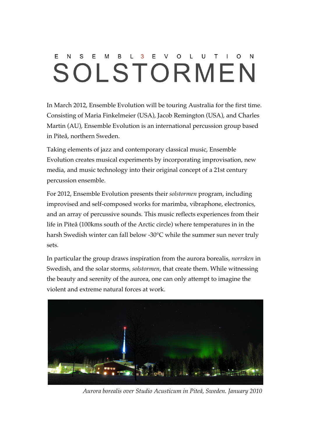#### $\mathsf{F}$ <sub>B</sub> L.  $\overline{3}$  $F$  V  $\Omega$ L  $\cup$ T. E  $N$  $S$ M OLSTORMEN

In March 2012, Ensemble Evolution will be touring Australia for the first time. Consisting of Maria Finkelmeier (USA), Jacob Remington (USA), and Charles Martin (AU), Ensemble Evolution is an international percussion group based in Piteå, northern Sweden.

Taking elements of jazz and contemporary classical music, Ensemble Evolution creates musical experiments by incorporating improvisation, new media, and music technology into their original concept of a 21st century percussion ensemble.

For 2012, Ensemble Evolution presents their *solstormen* program, including improvised and self-composed works for marimba, vibraphone, electronics, and an array of percussive sounds. This music reflects experiences from their life in Piteå (100kms south of the Arctic circle) where temperatures in in the harsh Swedish winter can fall below -30°C while the summer sun never truly sets.

In particular the group draws inspiration from the aurora borealis, *norrsken* in Swedish, and the solar storms, *solstormen*, that create them. While witnessing the beauty and serenity of the aurora, one can only attempt to imagine the violent and extreme natural forces at work.



*Aurora borealis over Studio Acusticum in Piteå, Sweden. January 2010*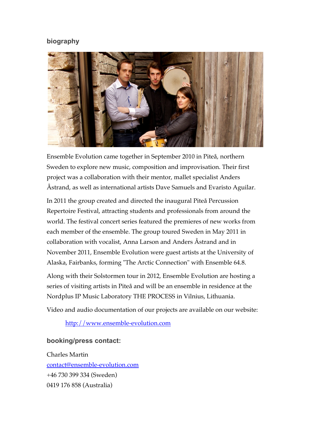# **biography**



Ensemble Evolution came together in September 2010 in Piteå, northern Sweden to explore new music, composition and improvisation. Their first project was a collaboration with their mentor, mallet specialist Anders Åstrand, as well as international artists Dave Samuels and Evaristo Aguilar.

In 2011 the group created and directed the inaugural Piteå Percussion Repertoire Festival, attracting students and professionals from around the world. The festival concert series featured the premieres of new works from each member of the ensemble. The group toured Sweden in May 2011 in collaboration with vocalist, Anna Larson and Anders Åstrand and in November 2011, Ensemble Evolution were guest artists at the University of Alaska, Fairbanks, forming "The Arctic Connection" with Ensemble 64.8.

Along with their Solstormen tour in 2012, Ensemble Evolution are hosting a series of visiting artists in Piteå and will be an ensemble in residence at the Nordplus IP Music Laboratory THE PROCESS in Vilnius, Lithuania.

Video and audio documentation of our projects are available on our website:

http://www.ensemble-evolution.com

# **booking/press contact:**

Charles Martin contact@ensemble-evolution.com +46 730 399 334 (Sweden) 0419 176 858 (Australia)